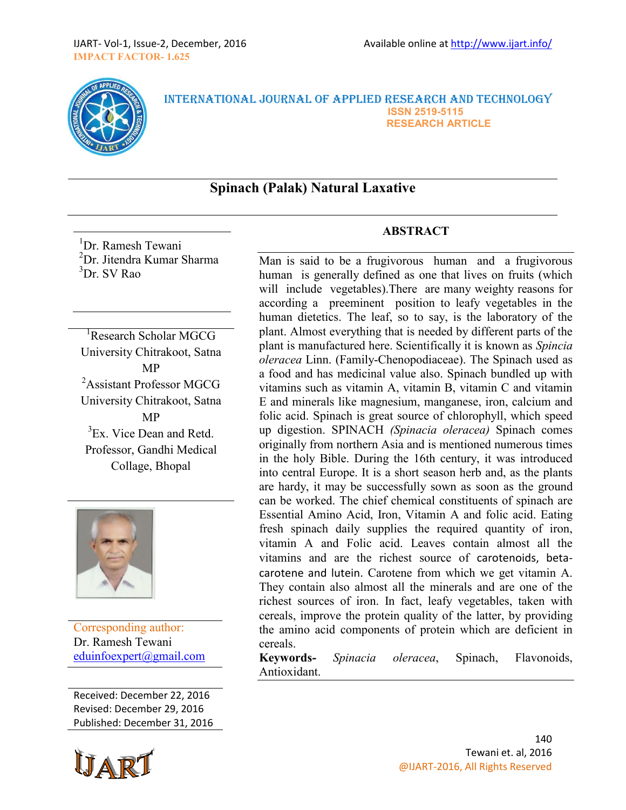

#### INTERNATIONAL JOURNAL OF APPLIED RESEARCH AND TECHNOLOGY  **ISSN 2519-5115 RESEARCH ARTICLE**

# **Spinach (Palak) Natural Laxative**

<sup>1</sup>Dr. Ramesh Tewani <sup>2</sup>Dr. Jitendra Kumar Sharma  ${}^{3}Dr$  SV Rao

<sup>1</sup>Research Scholar MGCG University Chitrakoot, Satna MP <sup>2</sup>Assistant Professor MGCG University Chitrakoot, Satna MP  ${}^{3}$ Ex. Vice Dean and Retd. Professor, Gandhi Medical Collage, Bhopal



Corresponding author: Dr. Ramesh Tewani [eduinfoexpert@gmail.com](mailto:eduinfoexpert@gmail.com)

Received: December 22, 2016 Revised: December 29, 2016 Published: December 31, 2016



### **ABSTRACT**

Man is said to be a frugivorous human and a frugivorous human is generally defined as one that lives on fruits (which will include vegetables).There are many weighty reasons for according a preeminent position to leafy vegetables in the human dietetics. The leaf, so to say, is the laboratory of the plant. Almost everything that is needed by different parts of the plant is manufactured here. Scientifically it is known as *Spincia oleracea* Linn. (Family-Chenopodiaceae). The Spinach used as a food and has medicinal value also. Spinach bundled up with vitamins such as vitamin A, vitamin B, vitamin C and vitamin E and minerals like magnesium, manganese, iron, calcium and folic acid. Spinach is great source of chlorophyll, which speed up digestion. SPINACH *(Spinacia oleracea)* Spinach comes originally from northern Asia and is mentioned numerous times in the holy Bible. During the 16th century, it was introduced into central Europe. It is a short season herb and, as the plants are hardy, it may be successfully sown as soon as the ground can be worked. The chief chemical constituents of spinach are Essential Amino Acid, Iron, Vitamin A and folic acid. Eating fresh spinach daily supplies the required quantity of iron, vitamin A and Folic acid. Leaves contain almost all the vitamins and are the richest source of carotenoids, betacarotene and lutein. Carotene from which we get vitamin A. They contain also almost all the minerals and are one of the richest sources of iron. In fact, leafy vegetables, taken with cereals, improve the protein quality of the latter, by providing the amino acid components of protein which are deficient in cereals.

**Keywords-** *Spinacia oleracea*, Spinach, Flavonoids, Antioxidant.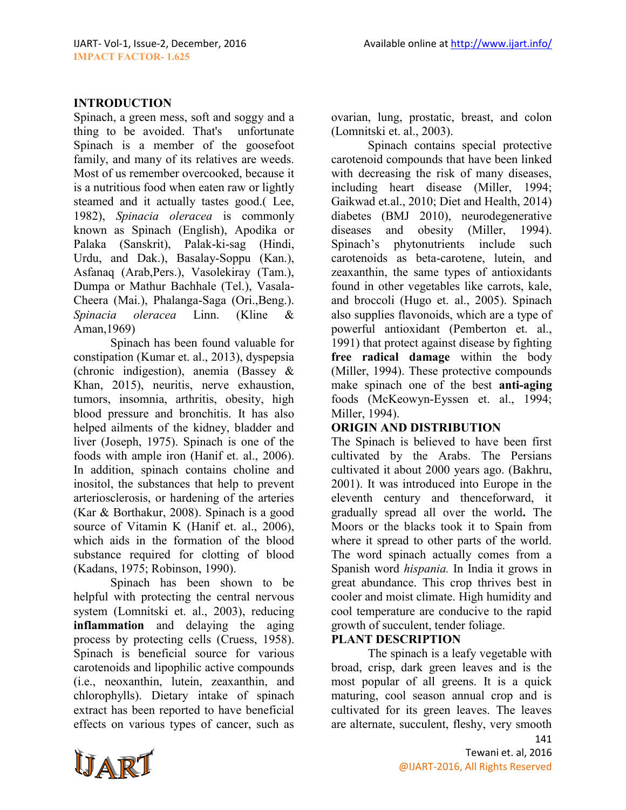### **INTRODUCTION**

Spinach, a green mess, soft and soggy and a thing to be avoided. That's unfortunate Spinach is a member of the goosefoot family, and many of its relatives are weeds. Most of us remember overcooked, because it is a nutritious food when eaten raw or lightly steamed and it actually tastes good.( Lee, 1982), *Spinacia oleracea* is commonly known as Spinach (English), Apodika or Palaka (Sanskrit), Palak-ki-sag (Hindi, Urdu, and Dak.), Basalay-Soppu (Kan.), Asfanaq (Arab,Pers.), Vasolekiray (Tam.), Dumpa or Mathur Bachhale (Tel.), Vasala-Cheera (Mai.), Phalanga-Saga (Ori.,Beng.). *Spinacia oleracea* Linn. (Kline & Aman,1969)

Spinach has been found valuable for constipation (Kumar et. al., 2013), dyspepsia (chronic indigestion), anemia (Bassey & Khan, 2015), neuritis, nerve exhaustion, tumors, insomnia, arthritis, obesity, high blood pressure and bronchitis. It has also helped ailments of the kidney, bladder and liver (Joseph, 1975). Spinach is one of the foods with ample iron (Hanif et. al., 2006). In addition, spinach contains choline and inositol, the substances that help to prevent arteriosclerosis, or hardening of the arteries (Kar & Borthakur, 2008). Spinach is a good source of Vitamin K (Hanif et. al., 2006), which aids in the formation of the blood substance required for clotting of blood (Kadans, 1975; Robinson, 1990).

Spinach has been shown to be helpful with protecting the central nervous system (Lomnitski et. al., 2003), reducing **[inflammation](https://draxe.com/inflammation-at-the-root-of-most-diseases/)** and delaying the aging process by protecting cells (Cruess, 1958). Spinach is beneficial source for various carotenoids and lipophilic active compounds (i.e., neoxanthin, lutein, zeaxanthin, and chlorophylls). Dietary intake of spinach extract has been reported to have beneficial effects on various types of cancer, such as ovarian, lung, prostatic, breast, and colon (Lomnitski et. al., 2003).

Spinach contains special protective carotenoid compounds that have been linked with decreasing the risk of many diseases, including heart disease (Miller, 1994; Gaikwad et.al., 2010; Diet and Health, 2014) diabetes (BMJ 2010), neurodegenerative diseases and obesity (Miller, 1994). Spinach's phytonutrients include such carotenoids as beta-carotene, lutein, and zeaxanthin, the same types of antioxidants found in other vegetables like carrots, kale, and broccoli (Hugo et. al., 2005). Spinach also supplies flavonoids, which are a type of powerful antioxidant (Pemberton et. al., 1991) that protect against disease by fighting **[free radical damage](https://draxe.com/fighting-free-radical-damage/)** within the body (Miller, 1994). These protective compounds make spinach one of the best **[anti-aging](https://draxe.com/the-1-beverage-for-anti-aging/)** foods (McKeowyn-Eyssen et. al., 1994; Miller, 1994).

#### **ORIGIN AND DISTRIBUTION**

The Spinach is believed to have been first cultivated by the Arabs. The Persians cultivated it about 2000 years ago. (Bakhru, 2001). It was introduced into Europe in the eleventh century and thenceforward, it gradually spread all over the world**.** The Moors or the blacks took it to Spain from where it spread to other parts of the world. The word spinach actually comes from a Spanish word *hispania.* In India it grows in great abundance. This crop thrives best in cooler and moist climate. High humidity and cool temperature are conducive to the rapid growth of succulent, tender foliage.

# **PLANT DESCRIPTION**

The spinach is a leafy vegetable with broad, crisp, dark green leaves and is the most popular of all greens. It is a quick maturing, cool season annual crop and is cultivated for its green leaves. The leaves are alternate, succulent, fleshy, very smooth

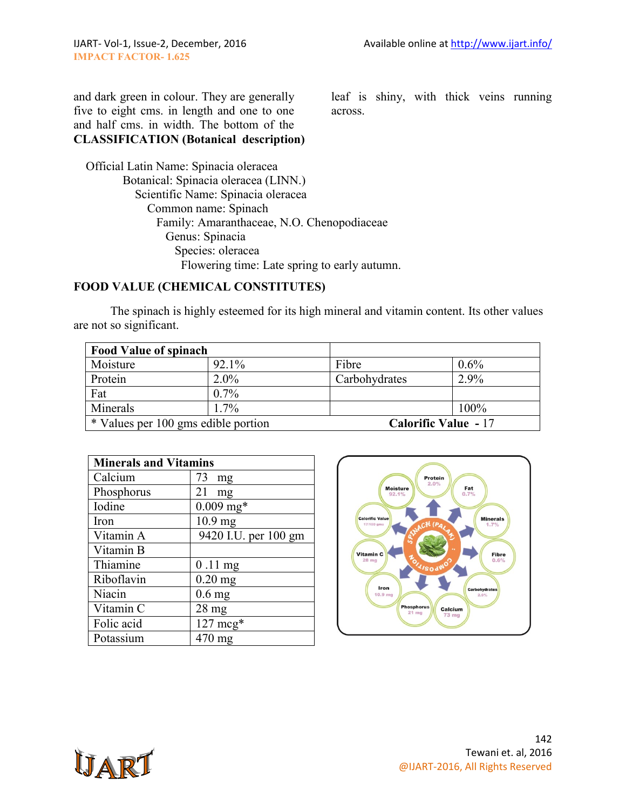and dark green in colour. They are generally five to eight cms. in length and one to one and half cms. in width. The bottom of the **CLASSIFICATION (Botanical description)** leaf is shiny, with thick veins running across.

 Official Latin Name: Spinacia oleracea Botanical: Spinacia oleracea (LINN.) Scientific Name: Spinacia oleracea Common name: Spinach Family: Amaranthaceae, N.O. Chenopodiaceae Genus: Spinacia Species: oleracea Flowering time: Late spring to early autumn.

# **FOOD VALUE (CHEMICAL CONSTITUTES)**

The spinach is highly esteemed for its high mineral and vitamin content. Its other values are not so significant.

| <b>Food Value of spinach</b>        |         |                             |         |
|-------------------------------------|---------|-----------------------------|---------|
| Moisture                            | 92.1%   | Fibre                       | $0.6\%$ |
| Protein                             | $2.0\%$ | Carbohydrates               | 2.9%    |
| Fat                                 | $0.7\%$ |                             |         |
| Minerals                            | $1.7\%$ |                             | 100%    |
| * Values per 100 gms edible portion |         | <b>Calorific Value - 17</b> |         |

| <b>Minerals and Vitamins</b> |                      |  |
|------------------------------|----------------------|--|
| Calcium                      | 73<br>mg             |  |
| Phosphorus                   | 21<br>mg             |  |
| Iodine                       | $0.009$ mg*          |  |
| Iron                         | $10.9$ mg            |  |
| Vitamin A                    | 9420 I.U. per 100 gm |  |
| Vitamin B                    |                      |  |
| Thiamine                     | $0.11$ mg            |  |
| Riboflavin                   | $0.20$ mg            |  |
| Niacin                       | $0.6$ mg             |  |
| Vitamin C                    | $28$ mg              |  |
| Folic acid                   | $127 \text{ mcg*}$   |  |
| Potassium                    | $470 \text{ mg}$     |  |



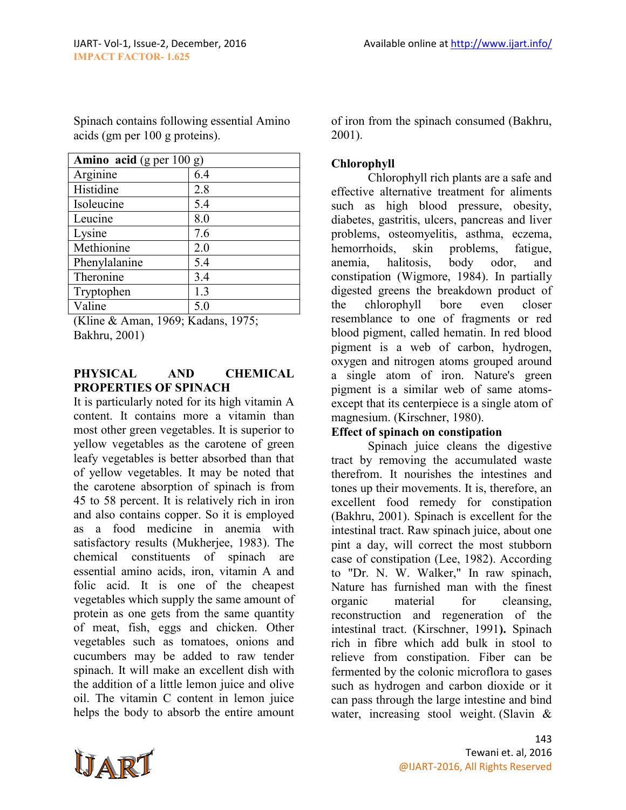Spinach contains following essential Amino acids (gm per 100 g proteins).

| Amino acid (g per $100 g$ ) |     |  |
|-----------------------------|-----|--|
| Arginine                    | 6.4 |  |
| Histidine                   | 2.8 |  |
| Isoleucine                  | 5.4 |  |
| Leucine                     | 8.0 |  |
| Lysine                      | 7.6 |  |
| Methionine                  | 2.0 |  |
| Phenylalanine               | 5.4 |  |
| Theronine                   | 3.4 |  |
| Tryptophen                  | 1.3 |  |
| Valine                      | 5.0 |  |

(Kline & Aman, 1969; Kadans, 1975; Bakhru, 2001)

### **PHYSICAL AND CHEMICAL PROPERTIES OF SPINACH**

It is particularly noted for its high vitamin A content. It contains more a vitamin than most other green vegetables. It is superior to yellow vegetables as the carotene of green leafy vegetables is better absorbed than that of yellow vegetables. It may be noted that the carotene absorption of spinach is from 45 to 58 percent. It is relatively rich in iron and also contains copper. So it is employed as a food medicine in anemia with satisfactory results (Mukherjee, 1983). The chemical constituents of spinach are essential amino acids, iron, vitamin A and folic acid. It is one of the cheapest vegetables which supply the same amount of protein as one gets from the same quantity of meat, fish, eggs and chicken. Other vegetables such as tomatoes, onions and cucumbers may be added to raw tender spinach. It will make an excellent dish with the addition of a little lemon juice and olive oil. The vitamin C content in lemon juice helps the body to absorb the entire amount

of iron from the spinach consumed (Bakhru, 2001).

# **Chlorophyll**

Chlorophyll rich plants are a safe and effective alternative treatment for aliments such as high blood pressure, obesity, diabetes, gastritis, ulcers, pancreas and liver problems, osteomyelitis, asthma, eczema, hemorrhoids, skin problems, fatigue, anemia, halitosis, body odor, and constipation (Wigmore, 1984). In partially digested greens the breakdown product of the chlorophyll bore even closer resemblance to one of fragments or red blood pigment, called hematin. In red blood pigment is a web of carbon, hydrogen, oxygen and nitrogen atoms grouped around a single atom of iron. Nature's green pigment is a similar web of same atomsexcept that its centerpiece is a single atom of magnesium. (Kirschner, 1980).

# **Effect of spinach on constipation**

Spinach juice cleans the digestive tract by removing the accumulated waste therefrom. It nourishes the intestines and tones up their movements. It is, therefore, an excellent food remedy for constipation (Bakhru, 2001). Spinach is excellent for the intestinal tract. Raw spinach juice, about one pint a day, will correct the most stubborn case of constipation (Lee, 1982). According to "Dr. N. W. Walker," In raw spinach, Nature has furnished man with the finest organic material for cleansing, reconstruction and regeneration of the intestinal tract. (Kirschner, 1991**).** Spinach rich in fibre which add bulk in stool to relieve from constipation. Fiber can be fermented by the colonic microflora to gases such as hydrogen and carbon dioxide or it can pass through the large intestine and bind water, increasing stool weight. (Slavin &

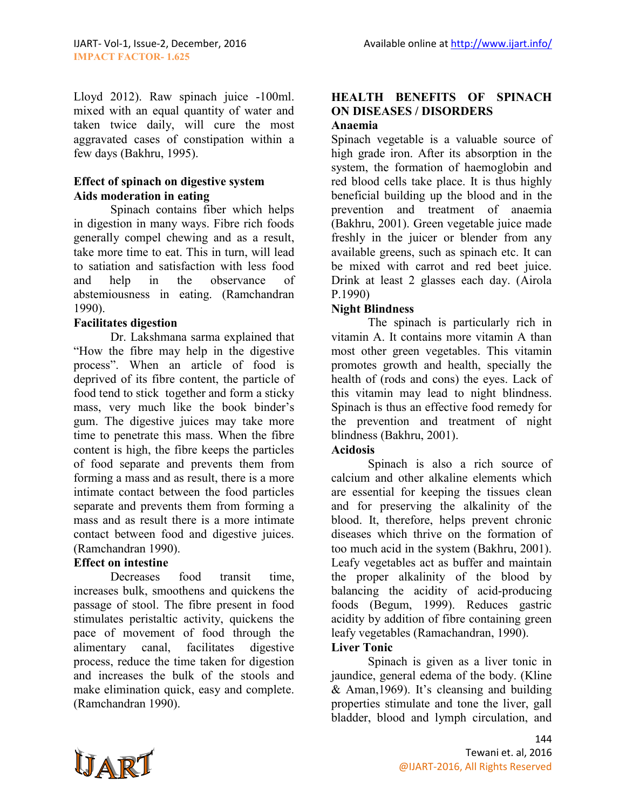Lloyd 2012). Raw spinach juice -100ml. mixed with an equal quantity of water and taken twice daily, will cure the most aggravated cases of constipation within a few days (Bakhru, 1995).

## **Effect of spinach on digestive system Aids moderation in eating**

Spinach contains fiber which helps in digestion in many ways. Fibre rich foods generally compel chewing and as a result, take more time to eat. This in turn, will lead to satiation and satisfaction with less food and help in the observance of abstemiousness in eating. (Ramchandran 1990).

# **Facilitates digestion**

Dr. Lakshmana sarma explained that "How the fibre may help in the digestive process". When an article of food is deprived of its fibre content, the particle of food tend to stick together and form a sticky mass, very much like the book binder's gum. The digestive juices may take more time to penetrate this mass. When the fibre content is high, the fibre keeps the particles of food separate and prevents them from forming a mass and as result, there is a more intimate contact between the food particles separate and prevents them from forming a mass and as result there is a more intimate contact between food and digestive juices. (Ramchandran 1990).

### **Effect on intestine**

Decreases food transit time, increases bulk, smoothens and quickens the passage of stool. The fibre present in food stimulates peristaltic activity, quickens the pace of movement of food through the alimentary canal, facilitates digestive process, reduce the time taken for digestion and increases the bulk of the stools and make elimination quick, easy and complete. (Ramchandran 1990).

#### **HEALTH BENEFITS OF SPINACH ON DISEASES / DISORDERS Anaemia**

Spinach vegetable is a valuable source of high grade iron. After its absorption in the system, the formation of haemoglobin and red blood cells take place. It is thus highly beneficial building up the blood and in the prevention and treatment of anaemia (Bakhru, 2001). Green vegetable juice made freshly in the juicer or blender from any available greens, such as spinach etc. It can be mixed with carrot and red beet juice. Drink at least 2 glasses each day. (Airola P.1990)

# **Night Blindness**

The spinach is particularly rich in vitamin A. It contains more vitamin A than most other green vegetables. This vitamin promotes growth and health, specially the health of (rods and cons) the eyes. Lack of this vitamin may lead to night blindness. Spinach is thus an effective food remedy for the prevention and treatment of night blindness (Bakhru, 2001).

# **Acidosis**

Spinach is also a rich source of calcium and other alkaline elements which are essential for keeping the tissues clean and for preserving the alkalinity of the blood. It, therefore, helps prevent chronic diseases which thrive on the formation of too much acid in the system (Bakhru, 2001). Leafy vegetables act as buffer and maintain the proper alkalinity of the blood by balancing the acidity of acid-producing foods (Begum, 1999). Reduces gastric acidity by addition of fibre containing green leafy vegetables (Ramachandran, 1990). **Liver Tonic**

Spinach is given as a liver tonic in jaundice, general edema of the body. (Kline & Aman,1969). It's cleansing and building properties stimulate and tone the liver, gall bladder, blood and lymph circulation, and

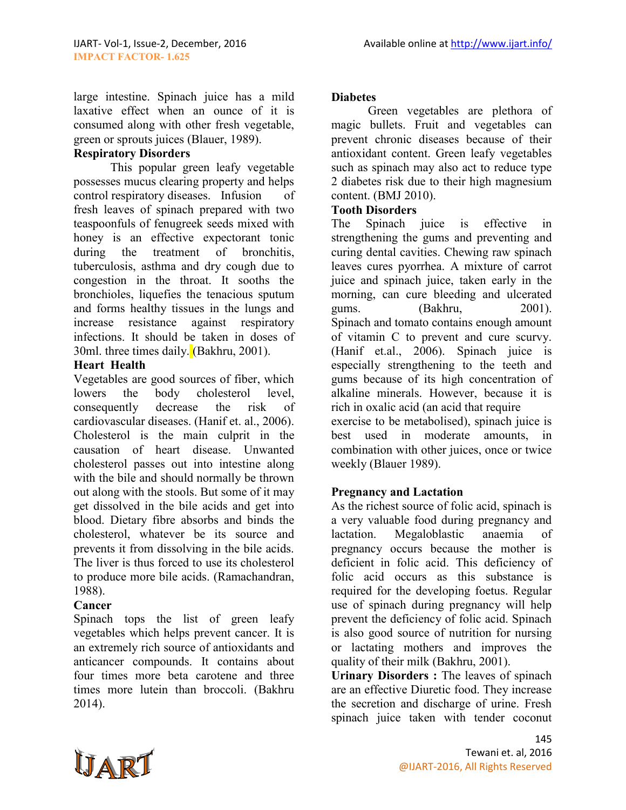large intestine. Spinach juice has a mild laxative effect when an ounce of it is consumed along with other fresh vegetable, green or sprouts juices (Blauer, 1989).

# **Respiratory Disorders**

This popular green leafy vegetable possesses mucus clearing property and helps control respiratory diseases. Infusion of fresh leaves of spinach prepared with two teaspoonfuls of fenugreek seeds mixed with honey is an effective expectorant tonic during the treatment of bronchitis, tuberculosis, asthma and dry cough due to congestion in the throat. It sooths the bronchioles, liquefies the tenacious sputum and forms healthy tissues in the lungs and increase resistance against respiratory infections. It should be taken in doses of 30ml. three times daily. (Bakhru, 2001).

#### **Heart Health**

Vegetables are good sources of fiber, which lowers the body cholesterol level, consequently decrease the risk of cardiovascular diseases. (Hanif et. al., 2006). Cholesterol is the main culprit in the causation of heart disease. Unwanted cholesterol passes out into intestine along with the bile and should normally be thrown out along with the stools. But some of it may get dissolved in the bile acids and get into blood. Dietary fibre absorbs and binds the cholesterol, whatever be its source and prevents it from dissolving in the bile acids. The liver is thus forced to use its cholesterol to produce more bile acids. (Ramachandran, 1988).

### **Cancer**

Spinach tops the list of green leafy vegetables which helps prevent cancer. It is an extremely rich source of antioxidants and anticancer compounds. It contains about four times more beta carotene and three times more lutein than broccoli. (Bakhru 2014).

#### **Diabetes**

Green vegetables are plethora of magic bullets. Fruit and vegetables can prevent chronic diseases because of their antioxidant content. Green leafy vegetables such as spinach may also act to reduce type 2 diabetes risk due to their high magnesium content. (BMJ 2010).

#### **Tooth Disorders**

The Spinach juice is effective in strengthening the gums and preventing and curing dental cavities. Chewing raw spinach leaves cures pyorrhea. A mixture of carrot juice and spinach juice, taken early in the morning, can cure bleeding and ulcerated gums. (Bakhru, 2001). Spinach and tomato contains enough amount of vitamin C to prevent and cure scurvy. (Hanif et.al., 2006). Spinach juice is especially strengthening to the teeth and gums because of its high concentration of alkaline minerals. However, because it is rich in oxalic acid (an acid that require exercise to be metabolised), spinach juice is best used in moderate amounts in combination with other juices, once or twice weekly (Blauer 1989).

### **Pregnancy and Lactation**

As the richest source of folic acid, spinach is a very valuable food during pregnancy and lactation. Megaloblastic anaemia of pregnancy occurs because the mother is deficient in folic acid. This deficiency of folic acid occurs as this substance is required for the developing foetus. Regular use of spinach during pregnancy will help prevent the deficiency of folic acid. Spinach is also good source of nutrition for nursing or lactating mothers and improves the quality of their milk (Bakhru, 2001).

**Urinary Disorders :** The leaves of spinach are an effective Diuretic food. They increase the secretion and discharge of urine. Fresh spinach juice taken with tender coconut

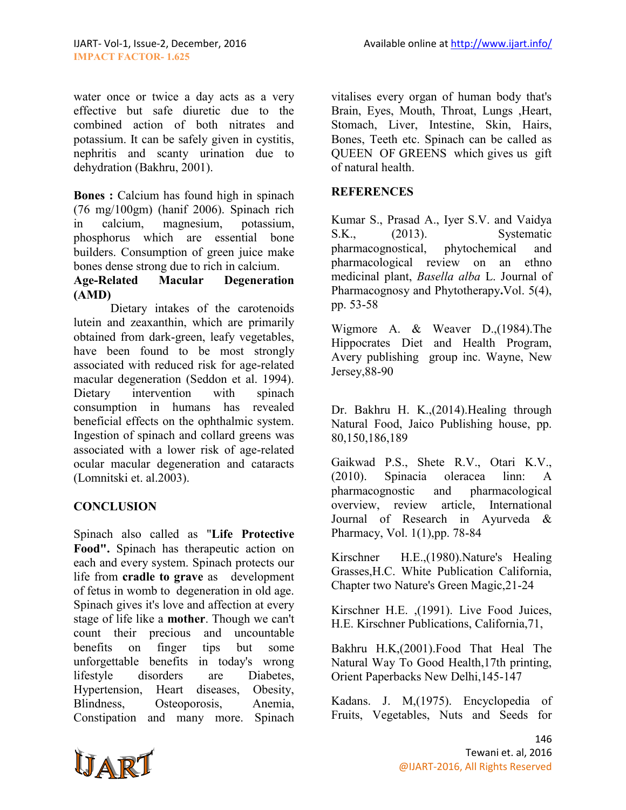water once or twice a day acts as a very effective but safe diuretic due to the combined action of both nitrates and potassium. It can be safely given in cystitis, nephritis and scanty urination due to dehydration (Bakhru, 2001).

**Bones :** Calcium has found high in spinach (76 mg/100gm) (hanif 2006). Spinach rich in calcium, magnesium, potassium, phosphorus which are essential bone builders. Consumption of green juice make bones dense strong due to rich in calcium.

# **Age-Related Macular Degeneration (AMD)**

Dietary intakes of the carotenoids lutein and zeaxanthin, which are primarily obtained from dark-green, leafy vegetables, have been found to be most strongly associated with reduced risk for age-related macular degeneration (Seddon et al. 1994). Dietary intervention with spinach consumption in humans has revealed beneficial effects on the ophthalmic system. Ingestion of spinach and collard greens was associated with a lower risk of age-related ocular macular degeneration and cataracts (Lomnitski et. al.2003).

### **CONCLUSION**

Spinach also called as "**Life Protective Food".** Spinach has therapeutic action on each and every system. Spinach protects our life from **cradle to grave** as development of fetus in womb to degeneration in old age. Spinach gives it's love and affection at every stage of life like a **mother**. Though we can't count their precious and uncountable benefits on finger tips but some unforgettable benefits in today's wrong lifestyle disorders are Diabetes, Hypertension, Heart diseases, Obesity, Blindness, Osteoporosis, Anemia, Constipation and many more. Spinach vitalises every organ of human body that's Brain, Eyes, Mouth, Throat, Lungs ,Heart, Stomach, Liver, Intestine, Skin, Hairs, Bones, Teeth etc. Spinach can be called as QUEEN OF GREENS which gives us gift of natural health.

#### **REFERENCES**

Kumar S., Prasad A., Iyer S.V. and Vaidya<br>S.K., (2013). Systematic S.K., (2013). Systematic pharmacognostical, phytochemical and pharmacological review on an ethno medicinal plant, *Basella alba* L. Journal of Pharmacognosy and Phytotherapy**.**Vol. 5(4), pp. 53-58

Wigmore A. & Weaver D.,(1984).The Hippocrates Diet and Health Program, Avery publishing group inc. Wayne, New Jersey,88-90

Dr. Bakhru H. K.,(2014).Healing through Natural Food, Jaico Publishing house, pp. 80,150,186,189

Gaikwad P.S., Shete R.V., Otari K.V., (2010). Spinacia oleracea linn: A pharmacognostic and pharmacological overview, review article, International Journal of Research in Ayurveda & Pharmacy, Vol. 1(1),pp. 78-84

Kirschner H.E.,(1980).Nature's Healing Grasses,H.C. White Publication California, Chapter two Nature's Green Magic,21-24

Kirschner H.E. ,(1991). Live Food Juices, H.E. Kirschner Publications, California,71,

Bakhru H.K,(2001).Food That Heal The Natural Way To Good Health,17th printing, Orient Paperbacks New Delhi,145-147

Kadans. J. M,(1975). Encyclopedia of Fruits, Vegetables, Nuts and Seeds for

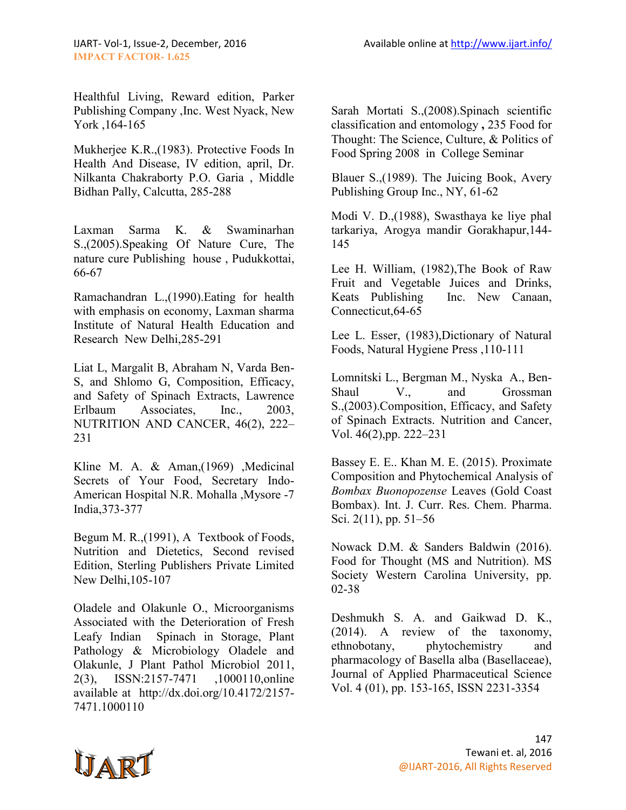Healthful Living, Reward edition, Parker Publishing Company ,Inc. West Nyack, New York ,164-165

Mukherjee K.R.,(1983). Protective Foods In Health And Disease, IV edition, april, Dr. Nilkanta Chakraborty P.O. Garia , Middle Bidhan Pally, Calcutta, 285-288

Laxman Sarma K. & Swaminarhan S.,(2005).Speaking Of Nature Cure, The nature cure Publishing house , Pudukkottai, 66-67

Ramachandran L.,(1990).Eating for health with emphasis on economy, Laxman sharma Institute of Natural Health Education and Research New Delhi,285-291

Liat L, Margalit B, Abraham N, Varda Ben-S, and Shlomo G, Composition, Efficacy, and Safety of Spinach Extracts, Lawrence Erlbaum Associates, Inc., 2003, NUTRITION AND CANCER, 46(2), 222– 231

Kline M. A. & Aman,(1969), Medicinal Secrets of Your Food, Secretary Indo-American Hospital N.R. Mohalla ,Mysore -7 India,373-377

Begum M. R.,(1991), A Textbook of Foods, Nutrition and Dietetics, Second revised Edition, Sterling Publishers Private Limited New Delhi,105-107

Oladele and Olakunle O., Microorganisms Associated with the Deterioration of Fresh Leafy Indian Spinach in Storage, Plant Pathology & Microbiology Oladele and Olakunle, J Plant Pathol Microbiol 2011, 2(3), ISSN:2157-7471 ,1000110,online available at http://dx.doi.org/10.4172/2157- 7471.1000110

Sarah Mortati S.,(2008).Spinach scientific classification and entomology **,** 235 Food for Thought: The Science, Culture, & Politics of Food Spring 2008 in College Seminar

[Blauer S.,\(1989\). The Juicing Book, Avery](http://www.amazon.com/gp/product/089529253X?ie=UTF8&tag=thenatpat-20&linkCode=as2&camp=1789&creative=9325&creativeASIN=089529253X)  [Publishing Group Inc., NY, 61-62](http://www.amazon.com/gp/product/089529253X?ie=UTF8&tag=thenatpat-20&linkCode=as2&camp=1789&creative=9325&creativeASIN=089529253X) 

Modi V. D.,(1988), Swasthaya ke liye phal tarkariya, Arogya mandir Gorakhapur,144- 145

Lee H. William, (1982),The Book of Raw Fruit and Vegetable Juices and Drinks, Keats Publishing Inc. New Canaan, Connecticut,64-65

Lee L. Esser, (1983),Dictionary of Natural Foods, Natural Hygiene Press ,110-111

Lomnitski L., Bergman M., Nyska A., Ben-Shaul V., and Grossman S.,(2003).Composition, Efficacy, and Safety of Spinach Extracts. Nutrition and Cancer, Vol. 46(2),pp. 222–231

Bassey E. E.. Khan M. E. (2015). Proximate Composition and Phytochemical Analysis of *Bombax Buonopozense* Leaves (Gold Coast Bombax). Int. J. Curr. Res. Chem. Pharma. Sci. 2(11), pp. 51–56

Nowack D.M. & Sanders Baldwin (2016). Food for Thought (MS and Nutrition). MS Society Western Carolina University, pp. 02-38

Deshmukh S. A. and Gaikwad D. K., (2014). A review of the taxonomy, ethnobotany, phytochemistry and pharmacology of Basella alba (Basellaceae), Journal of Applied Pharmaceutical Science Vol. 4 (01), pp. 153-165, ISSN 2231-3354